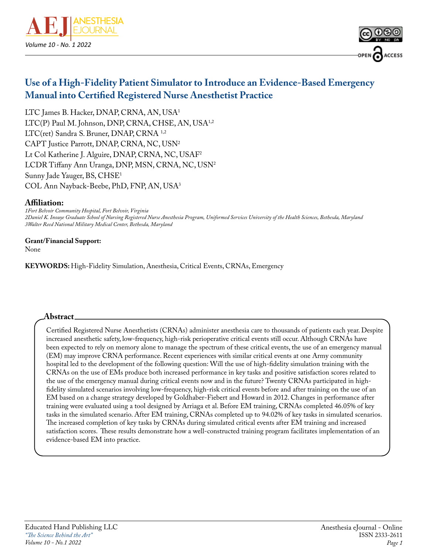



# **Use of a High-Fidelity Patient Simulator to Introduce an Evidence-Based Emergency Manual into Certified Registered Nurse Anesthetist Practice**

LTC James B. Hacker, DNAP, CRNA, AN, USA1 LTC(P) Paul M. Johnson, DNP, CRNA, CHSE, AN, USA<sup>1,2</sup> LTC(ret) Sandra S. Bruner, DNAP, CRNA 1,2 CAPT Justice Parrott, DNAP, CRNA, NC, USN2 Lt Col Katherine J. Alguire, DNAP, CRNA, NC, USAF2 LCDR Tiffany Ann Uranga, DNP, MSN, CRNA, NC, USN2 Sunny Jade Yauger, BS, CHSE1 COL Ann Nayback-Beebe, PhD, FNP, AN, USA3

#### **Affiliation:**

*1Fort Belvoir Community Hospital, Fort Belvoir, Virginia 2Daniel K. Inouye Graduate School of Nursing Registered Nurse Anesthesia Program, Uniformed Services University of the Health Sciences, Bethesda, Maryland 3Walter Reed National Military Medical Center, Bethesda, Maryland*

## **Grant/Financial Support:**

None

**KEYWORDS:** High-Fidelity Simulation, Anesthesia, Critical Events, CRNAs, Emergency

#### **Abstract**

Certified Registered Nurse Anesthetists (CRNAs) administer anesthesia care to thousands of patients each year. Despite increased anesthetic safety, low-frequency, high-risk perioperative critical events still occur. Although CRNAs have been expected to rely on memory alone to manage the spectrum of these critical events, the use of an emergency manual (EM) may improve CRNA performance. Recent experiences with similar critical events at one Army community hospital led to the development of the following question: Will the use of high-fidelity simulation training with the CRNAs on the use of EMs produce both increased performance in key tasks and positive satisfaction scores related to the use of the emergency manual during critical events now and in the future? Twenty CRNAs participated in highfidelity simulated scenarios involving low-frequency, high-risk critical events before and after training on the use of an EM based on a change strategy developed by Goldhaber-Fiebert and Howard in 2012. Changes in performance after training were evaluated using a tool designed by Arriaga et al. Before EM training, CRNAs completed 46.05% of key tasks in the simulated scenario. After EM training, CRNAs completed up to 94.02% of key tasks in simulated scenarios. The increased completion of key tasks by CRNAs during simulated critical events after EM training and increased satisfaction scores. These results demonstrate how a well-constructed training program facilitates implementation of an evidence-based EM into practice.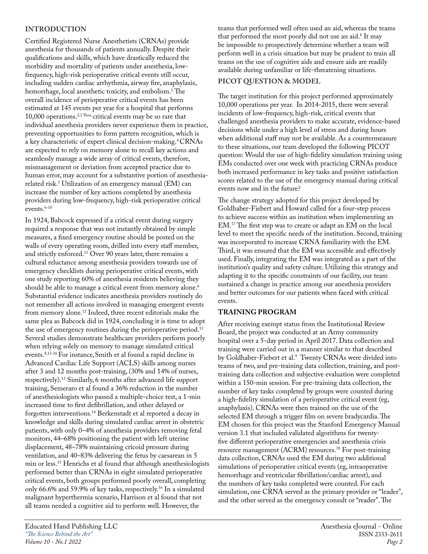### **INTRODUCTION**

Certified Registered Nurse Anesthetists (CRNAs) provide anesthesia for thousands of patients annually. Despite their qualifications and skills, which have drastically reduced the morbidity and mortality of patients under anesthesia, lowfrequency, high-risk perioperative critical events still occur, including sudden cardiac arrhythmia, airway fire, anaphylaxis, hemorrhage, local anesthetic toxicity, and embolism.1 The overall incidence of perioperative critical events has been estimated at 145 events per year for a hospital that performs 10,000 operations.2,3 Thus, critical events may be so rare that individual anesthesia providers never experience them in practice, preventing opportunities to form pattern recognition, which is a key characteristic of expert clinical decision-making.4 CRNAs are expected to rely on memory alone to recall key actions and seamlessly manage a wide array of critical events, therefore, mismanagement or deviation from accepted practice due to human error, may account for a substantive portion of anesthesiarelated risk.5 Utilization of an emergency manual (EM) can increase the number of key actions completed by anesthesia providers during low-frequency, high-risk perioperative critical events.<sup>6-10</sup>

In 1924, Babcock expressed if a critical event during surgery required a response that was not instantly obtained by simple measures, a fixed emergency routine should be posted on the walls of every operating room, drilled into every staff member, and strictly enforced.11 Over 90 years later, there remains a cultural reluctance among anesthesia providers towards use of emergency checklists during perioperative critical events, with one study reporting 60% of anesthesia residents believing they should be able to manage a critical event from memory alone.<sup>6</sup> Substantial evidence indicates anesthesia providers routinely do not remember all actions involved in managing emergent events from memory alone.12 Indeed, three recent editorials make the same plea as Babcock did in 1924, concluding it is time to adopt the use of emergency routines during the perioperative period.<sup>11</sup> Several studies demonstrate healthcare providers perform poorly when relying solely on memory to manage simulated critical events.8,13-16 For instance,Smith et al found a rapid decline in Advanced Cardiac Life Support (ACLS) skills among nurses after 3 and 12 months post-training, (30% and 14% of nurses, respectively).13 Similarly, 6 months after advanced life support training, Semeraro et al found a 36% reduction in the number of anesthesiologists who passed a multiple-choice test, a 1-min increased time to first defibrillation, and other delayed or forgotten interventions.14 Berkenstadt et al reported a decay in knowledge and skills during simulated cardiac arrest in obstetric patients, with only 0–4% of anesthesia providers removing fetal monitors, 44–68% positioning the patient with left uterine displacement, 48–78% maintaining cricoid pressure during ventilation, and 40–83% delivering the fetus by caesarean in 5 min or less.15 Henrichs et al found that although anesthesiologists performed better than CRNAs in eight simulated perioperative critical events, both groups performed poorly overall, completing only 66.6% and 59.9% of key tasks, respectively.16 In a simulated malignant hyperthermia scenario, Harrison et al found that not all teams needed a cognitive aid to perform well. However, the

teams that performed well often used an aid, whereas the teams that performed the most poorly did not use an aid.8 It may be impossible to prospectively determine whether a team will perform well in a crisis situation but may be prudent to train all teams on the use of cognitive aids and ensure aids are readily available during unfamiliar or life-threatening situations.

### **PICOT QUESTION & MODEL**

The target institution for this project performed approximately 10,000 operations per year. In 2014-2015, there were several incidents of low-frequency, high-risk, critical events that challenged anesthesia providers to make accurate, evidence-based decisions while under a high level of stress and during hours when additional staff may not be available. As a countermeasure to these situations, our team developed the following PICOT question: Would the use of high-fidelity simulation training using EMs conducted over one week with practicing CRNAs produce both increased performance in key tasks and positive satisfaction scores related to the use of the emergency manual during critical events now and in the future?

The change strategy adopted for this project developed by Goldhaber-Fiebert and Howard called for a four-step process to achieve success within an institution when implementing an EM.17 The first step was to create or adapt an EM on the local level to meet the specific needs of the institution. Second, training was incorporated to increase CRNA familiarity with the EM. Third, it was ensured that the EM was accessible and effectively used. Finally, integrating the EM was integrated as a part of the institution's quality and safety culture. Utilizing this strategy and adapting it to the specific constraints of our facility, our team sustained a change in practice among our anesthesia providers and better outcomes for our patients when faced with critical events.

## **TRAINING PROGRAM**

After receiving exempt status from the Institutional Review Board, the project was conducted at an Army community hospital over a 5-day period in April 2017. Data collection and training were carried out in a manner similar to that described by Goldhaber-Fiebert et al.<sup>9</sup> Twenty CRNAs were divided into teams of two, and pre-training data collection, training, and posttraining data collection and subjective evaluation were completed within a 150-min session. For pre-training data collection, the number of key tasks completed by groups were counted during a high-fidelity simulation of a perioperative critical event (eg, anaphylaxis). CRNAs were then trained on the use of the selected EM through a trigger film on severe bradycardia. The EM chosen for this project was the Stanford Emergency Manual version 3.1 that included validated algorithms for twentyfive different perioperative emergencies and anesthesia crisis resource management (ACRM) resources.18 For post-training data collection, CRNAs used the EM during two additional simulations of perioperative critical events (eg, intraoperative hemorrhage and ventricular fibrillation/cardiac arrest), and the numbers of key tasks completed were counted. For each simulation, one CRNA served as the primary provider or "leader", and the other served as the emergency consult or "reader". The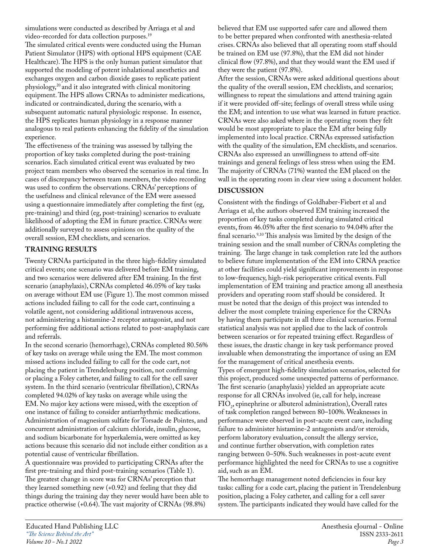simulations were conducted as described by Arriaga et al and video-recorded for data collection purposes.19

The simulated critical events were conducted using the Human Patient Simulator (HPS) with optional HPS equipment (CAE Healthcare). The HPS is the only human patient simulator that supported the modeling of potent inhalational anesthetics and exchanges oxygen and carbon dioxide gases to replicate patient physiology,20 and it also integrated with clinical monitoring equipment. The HPS allows CRNAs to administer medications, indicated or contraindicated, during the scenario, with a subsequent automatic natural physiologic response. In essence, the HPS replicates human physiology in a response manner analogous to real patients enhancing the fidelity of the simulation experience.

The effectiveness of the training was assessed by tallying the proportion of key tasks completed during the post-training scenarios. Each simulated critical event was evaluated by two project team members who observed the scenarios in real time. In cases of discrepancy between team members, the video recording was used to confirm the observations. CRNAs' perceptions of the usefulness and clinical relevance of the EM were assessed using a questionnaire immediately after completing the first (eg, pre-training) and third (eg, post-training) scenarios to evaluate likelihood of adopting the EM in future practice. CRNAs were additionally surveyed to assess opinions on the quality of the overall session, EM checklists, and scenarios.

#### **TRAINING RESULTS**

Twenty CRNAs participated in the three high-fidelity simulated critical events; one scenario was delivered before EM training, and two scenarios were delivered after EM training. In the first scenario (anaphylaxis), CRNAs completed 46.05% of key tasks on average without EM use (Figure 1). The most common missed actions included failing to call for the code cart, continuing a volatile agent, not considering additional intravenous access, not administering a histamine-2 receptor antagonist, and not performing five additional actions related to post-anaphylaxis care and referrals.

In the second scenario (hemorrhage), CRNAs completed 80.56% of key tasks on average while using the EM. The most common missed actions included failing to call for the code cart, not placing the patient in Trendelenburg position, not confirming or placing a Foley catheter, and failing to call for the cell saver system. In the third scenario (ventricular fibrillation), CRNAs completed 94.02% of key tasks on average while using the EM. No major key actions were missed, with the exception of one instance of failing to consider antiarrhythmic medications. Administration of magnesium sulfate for Torsade de Pointes, and concurrent administration of calcium chloride, insulin, glucose, and sodium bicarbonate for hyperkalemia, were omitted as key actions because this scenario did not include either condition as a potential cause of ventricular fibrillation.

A questionnaire was provided to participating CRNAs after the first pre-training and third post-training scenarios (Table 1). The greatest change in score was for CRNAs' perception that they learned something new (+0.92) and feeling that they did things during the training day they never would have been able to practice otherwise (+0.64). The vast majority of CRNAs (98.8%)

believed that EM use supported safer care and allowed them to be better prepared when confronted with anesthesia-related crises. CRNAs also believed that all operating room staff should be trained on EM use (97.8%), that the EM did not hinder clinical flow (97.8%), and that they would want the EM used if they were the patient (97.8%).

After the session, CRNAs were asked additional questions about the quality of the overall session, EM checklists, and scenarios; willingness to repeat the simulations and attend training again if it were provided off-site; feelings of overall stress while using the EM; and intention to use what was learned in future practice. CRNAs were also asked where in the operating room they felt would be most appropriate to place the EM after being fully implemented into local practice. CRNAs expressed satisfaction with the quality of the simulation, EM checklists, and scenarios. CRNAs also expressed an unwillingness to attend off-site trainings and general feelings of less stress when using the EM. The majority of CRNAs (71%) wanted the EM placed on the wall in the operating room in clear view using a document holder.

### **DISCUSSION**

Consistent with the findings of Goldhaber-Fiebert et al and Arriaga et al, the authors observed EM training increased the proportion of key tasks completed during simulated critical events, from 46.05% after the first scenario to 94.04% after the final scenario.9,10 This analysis was limited by the design of the training session and the small number of CRNAs completing the training. The large change in task completion rate led the authors to believe future implementation of the EM into CRNA practice at other facilities could yield significant improvements in response to low-frequency, high-risk perioperative critical events. Full implementation of EM training and practice among all anesthesia providers and operating room staff should be considered. It must be noted that the design of this project was intended to deliver the most complete training experience for the CRNAs by having them participate in all three clinical scenarios. Formal statistical analysis was not applied due to the lack of controls between scenarios or for repeated training effect. Regardless of these issues, the drastic change in key task performance proved invaluable when demonstrating the importance of using an EM for the management of critical anesthesia events. Types of emergent high-fidelity simulation scenarios, selected for this project, produced some unexpected patterns of performance. The first scenario (anaphylaxis) yielded an appropriate acute response for all CRNAs involved (ie, call for help, increase  $FIO<sub>2</sub>$ , epinephrine or albuterol administration), Overall rates of task completion ranged between 80–100%. Weaknesses in performance were observed in post-acute event care, including failure to administer histamine-2 antagonists and/or steroids, perform laboratory evaluation, consult the allergy service, and continue further observation, with completion rates ranging between 0–50%. Such weaknesses in post-acute event performance highlighted the need for CRNAs to use a cognitive aid, such as an EM.

The hemorrhage management noted deficiencies in four key tasks: calling for a code cart, placing the patient in Trendelenburg position, placing a Foley catheter, and calling for a cell saver system. The participants indicated they would have called for the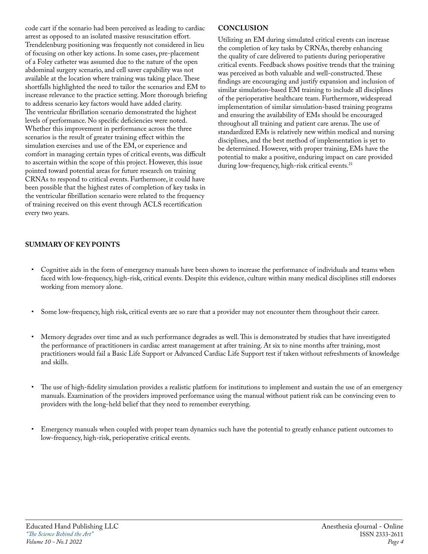code cart if the scenario had been perceived as leading to cardiac arrest as opposed to an isolated massive resuscitation effort. Trendelenburg positioning was frequently not considered in lieu of focusing on other key actions. In some cases, pre-placement of a Foley catheter was assumed due to the nature of the open abdominal surgery scenario, and cell saver capability was not available at the location where training was taking place. These shortfalls highlighted the need to tailor the scenarios and EM to increase relevance to the practice setting. More thorough briefing to address scenario key factors would have added clarity. The ventricular fibrillation scenario demonstrated the highest levels of performance. No specific deficiencies were noted. Whether this improvement in performance across the three scenarios is the result of greater training effect within the simulation exercises and use of the EM, or experience and comfort in managing certain types of critical events, was difficult to ascertain within the scope of this project. However, this issue pointed toward potential areas for future research on training CRNAs to respond to critical events. Furthermore, it could have been possible that the highest rates of completion of key tasks in the ventricular fibrillation scenario were related to the frequency of training received on this event through ACLS recertification every two years.

#### **CONCLUSION**

Utilizing an EM during simulated critical events can increase the completion of key tasks by CRNAs, thereby enhancing the quality of care delivered to patients during perioperative critical events. Feedback shows positive trends that the training was perceived as both valuable and well-constructed. These findings are encouraging and justify expansion and inclusion of similar simulation-based EM training to include all disciplines of the perioperative healthcare team. Furthermore, widespread implementation of similar simulation-based training programs and ensuring the availability of EMs should be encouraged throughout all training and patient care arenas. The use of standardized EMs is relatively new within medical and nursing disciplines, and the best method of implementation is yet to be determined. However, with proper training, EMs have the potential to make a positive, enduring impact on care provided during low-frequency, high-risk critical events.<sup>21</sup>

### **SUMMARY OF KEY POINTS**

- Cognitive aids in the form of emergency manuals have been shown to increase the performance of individuals and teams when faced with low-frequency, high-risk, critical events. Despite this evidence, culture within many medical disciplines still endorses working from memory alone.
- Some low-frequency, high risk, critical events are so rare that a provider may not encounter them throughout their career.
- Memory degrades over time and as such performance degrades as well. This is demonstrated by studies that have investigated the performance of practitioners in cardiac arrest management at after training. At six to nine months after training, most practitioners would fail a Basic Life Support or Advanced Cardiac Life Support test if taken without refreshments of knowledge and skills.
- The use of high-fidelity simulation provides a realistic platform for institutions to implement and sustain the use of an emergency manuals. Examination of the providers improved performance using the manual without patient risk can be convincing even to providers with the long-held belief that they need to remember everything.
- Emergency manuals when coupled with proper team dynamics such have the potential to greatly enhance patient outcomes to low-frequency, high-risk, perioperative critical events.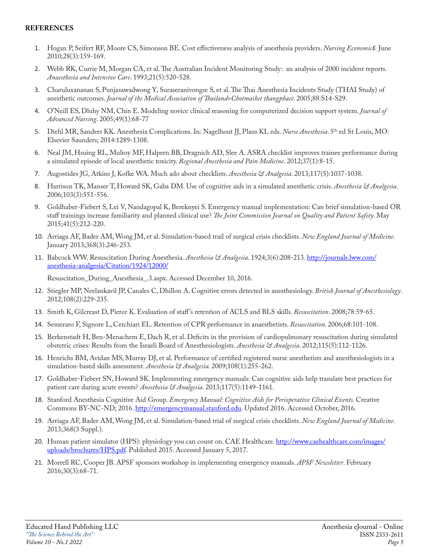#### **REFERENCES**

- 1. Hogan P, Seifert RF, Moore CS, Simonson BE. Cost effectiveness analysis of anesthesia providers. *Nursing Economic\$.* June 2010;28(3):159-169.
- 2. Webb RK, Currie M, Morgan CA, et al. The Australian Incident Monitoring Study: an analysis of 2000 incident reports. *Anaesthesia and Intensive Care*. 1993;21(5):520-528.
- 3. Charuluxananan S, Punjasawadwong Y, Suraseranivongse S, et al. The Thai Anesthesia Incidents Study (THAI Study) of anesthetic outcomes. *Journal of the Medical Association of Thailand=Chotmaihet thangphaet*. 2005;88:S14-S29.
- 4. O'Neill ES, Dluhy NM, Chin E. Modeling novice clinical reasoning for computerized decision support system. *Journal of Advanced Nursing*. 2005;49(1):68-77
- 5. Diehl MR, Sanders KK. Anesthesia Complications. In: Nagelhout JJ, Plaus KL eds. *Nurse Anesthesia*. 5<sup>th</sup> ed St Louis, MO: Elsevier Saunders; 2014:1289-1308.
- 6. Neal JM, Hsuing RL, Mulroy MF, Halpern BB, Dragnich AD, Slee A. ASRA checklist improves trainee performance during a simulated episode of local anesthetic toxicity. *Regional Anesthesia and Pain Medicine*. 2012;37(1):8-15.
- 7. Augostides JG, Atkins J, Kofke WA. Much ado about checklists. *Anesthesia & Analgesia*. 2013;117(5):1037-1038.
- 8. Harrison TK, Manser T, Howard SK, Gaba DM. Use of cognitive aids in a simulated anesthetic crisis. *Anesthesia & Analgesia*. 2006;103(3):551-556.
- 9. Goldhaber-Fiebert S, Lei V, Nandagopal K, Bereknyei S. Emergency manual implementation: Can brief simulation-based OR staff trainings increase familiarity and planned clinical use? *The Joint Commission Journal on Quality and Patient Safety*. May 2015;41(5):212-220.
- 10. Arriaga AF, Bader AM, Wong JM, et al. Simulation-based trail of surgical crisis checklists. *New England Journal of Medicine*. January 2013;368(3):246-253.
- 11. Babcock WW. Resuscitation During Anesthesia. *Anesthesia & Analgesia*. 1924;3(6):208-213. [http://journals.lww.com/](http://journals.lww.com/anesthesia-analgesia/Citation/1924/12000/) [anesthesia-analgesia/Citation/1924/12000/](http://journals.lww.com/anesthesia-analgesia/Citation/1924/12000/)

Resuscitation\_During\_Anesthesia\_.3.aspx. Accessed December 10, 2016.

- 12. Stiegler MP, Neelankavil JP, Canales C, Dhillon A. Cognitive errors detected in anesthesiology. *British Journal of Anesthesiology*. 2012;108(2):229-235.
- 13. Smith K, Gilcreast D, Pierce K. Evaluation of staff 's retention of ACLS and BLS skills. *Resuscitation*. 2008;78:59-65.
- 14. Semeraro F, Signore L, Cerchiari EL. Retention of CPR performance in anaesthetists. *Resuscitation*. 2006;68:101-108.
- 15. Berkenstadt H, Ben-Menachem E, Dach R, et al. Deficits in the provision of cardiopulmonary resuscitation during simulated obstetric crises: Results from the Israeli Board of Anesthesiologists. *Anesthesia & Analgesia*. 2012;115(5):112-1126.
- 16. Henrichs BM, Avidan MS, Murray DJ, et al. Performance of certified registered nurse anesthetists and anesthesiologists in a simulation-based skills assessment. *Anesthesia & Analgesia*. 2009;108(1):255-262.
- 17. Goldhaber-Fiebert SN, Howard SK. Implementing emergency manuals: Can cognitive aids help translate best practices for patient care during acute events? *Anesthesia & Analgesia*. 2013;117(5):1149-1161.
- 18. Stanford Anesthesia Cognitive Aid Group. *Emergency Manual: Cognitive Aids for Perioperative Clinical Events.* Creative Commons BY-NC-ND; 2016. <http://emergencymanual.stanford.edu>. Updated 2016. Accessed October, 2016.
- 19. Arriaga AF, Bader AM, Wong JM, et al. Simulation-based trial of surgical crisis checklists. *New England Journal of Medicine*. 2013;368(3 Suppl.).
- 20. Human patient simulator (HPS): physiology you can count on. CAE Healthcare. [http://www.caehealthcare.com/images/](http://www.caehealthcare.com/images/uploads/brochures/HPS.pdf) [uploads/brochures/HPS.pdf](http://www.caehealthcare.com/images/uploads/brochures/HPS.pdf). Published 2015. Accessed January 5, 2017.
- 21. Morrell RC, Cooper JB. APSF sponsors workshop in implementing emergency manuals. *APSF Newsletter*. February 2016;30(3):68-71.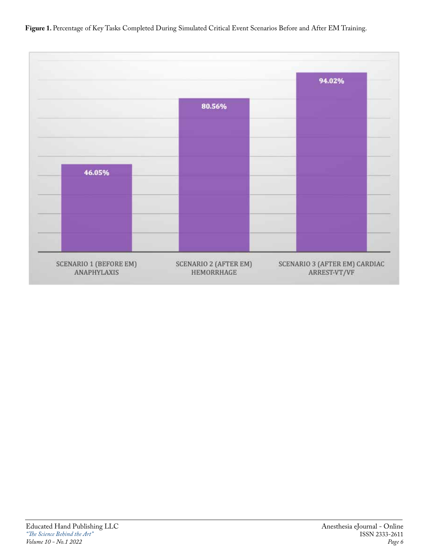Figure 1. Percentage of Key Tasks Completed During Simulated Critical Event Scenarios Before and After EM Training.